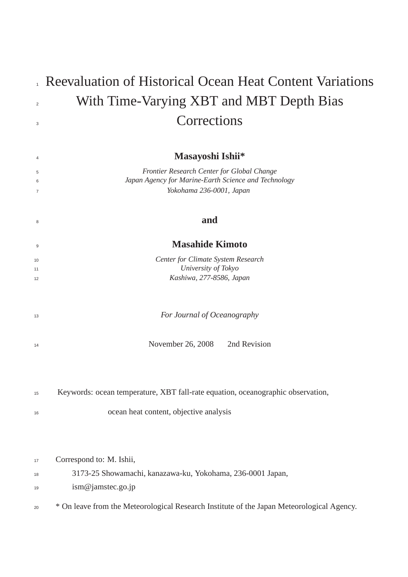|                | Reevaluation of Historical Ocean Heat Content Variations                                           |  |  |  |  |  |  |  |
|----------------|----------------------------------------------------------------------------------------------------|--|--|--|--|--|--|--|
| $\overline{2}$ | With Time-Varying XBT and MBT Depth Bias                                                           |  |  |  |  |  |  |  |
| 3              | Corrections                                                                                        |  |  |  |  |  |  |  |
|                |                                                                                                    |  |  |  |  |  |  |  |
| $\overline{4}$ | Masayoshi Ishii*                                                                                   |  |  |  |  |  |  |  |
| 5<br>6         | Frontier Research Center for Global Change<br>Japan Agency for Marine-Earth Science and Technology |  |  |  |  |  |  |  |
| $\overline{7}$ | Yokohama 236-0001, Japan                                                                           |  |  |  |  |  |  |  |
| 8              | and                                                                                                |  |  |  |  |  |  |  |
| 9              | <b>Masahide Kimoto</b>                                                                             |  |  |  |  |  |  |  |
| 10             | Center for Climate System Research                                                                 |  |  |  |  |  |  |  |
| 11             | University of Tokyo                                                                                |  |  |  |  |  |  |  |
| 12             | Kashiwa, 277-8586, Japan                                                                           |  |  |  |  |  |  |  |
| 13             | For Journal of Oceanography                                                                        |  |  |  |  |  |  |  |
| 14             | November 26, 2008<br>2nd Revision                                                                  |  |  |  |  |  |  |  |
|                |                                                                                                    |  |  |  |  |  |  |  |
| 15             | Keywords: ocean temperature, XBT fall-rate equation, oceanographic observation,                    |  |  |  |  |  |  |  |
| 16             | ocean heat content, objective analysis                                                             |  |  |  |  |  |  |  |
|                |                                                                                                    |  |  |  |  |  |  |  |
| 17             | Correspond to: M. Ishii,                                                                           |  |  |  |  |  |  |  |
| 18             | 3173-25 Showamachi, kanazawa-ku, Yokohama, 236-0001 Japan,                                         |  |  |  |  |  |  |  |
| 19             | ism@jamstec.go.jp                                                                                  |  |  |  |  |  |  |  |
| 20             | * On leave from the Meteorological Research Institute of the Japan Meteorological Agency.          |  |  |  |  |  |  |  |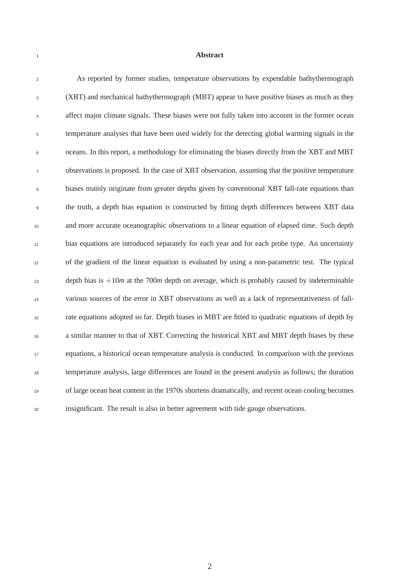#### **Abstract**

 As reported by former studies, temperature observations by expendable bathythermograph (XBT) and mechanical bathythermograph (MBT) appear to have positive biases as much as they affect major climate signals. These biases were not fully taken into account in the former ocean temperature analyses that have been used widely for the detecting global warming signals in the oceans. In this report, a methodology for eliminating the biases directly from the XBT and MBT observations is proposed. In the case of XBT observation, assuming that the positive temperature biases mainly originate from greater depths given by conventional XBT fall-rate equations than the truth, a depth bias equation is constructed by fitting depth differences between XBT data and more accurate oceanographic observations to a linear equation of elapsed time. Such depth bias equations are introduced separately for each year and for each probe type. An uncertainty of the gradient of the linear equation is evaluated by using a non-parametric test. The typical 13 depth bias is  $+10m$  at the 700*m* depth on average, which is probably caused by indeterminable various sources of the error in XBT observations as well as a lack of representativeness of fall- rate equations adopted so far. Depth biases in MBT are fitted to quadratic equations of depth by a similar manner to that of XBT. Correcting the historical XBT and MBT depth biases by these equations, a historical ocean temperature analysis is conducted. In comparison with the previous temperature analysis, large differences are found in the present analysis as follows; the duration of large ocean heat content in the 1970s shortens dramatically, and recent ocean cooling becomes insignificant. The result is also in better agreement with tide gauge observations.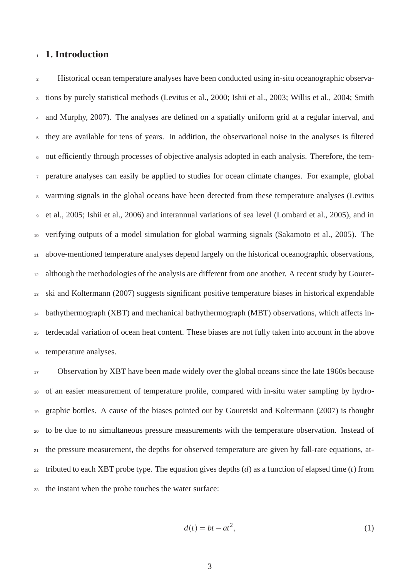## 1. Introduction

 Historical ocean temperature analyses have been conducted using in-situ oceanographic observa- tions by purely statistical methods (Levitus et al., 2000; Ishii et al., 2003; Willis et al., 2004; Smith and Murphy, 2007). The analyses are defined on a spatially uniform grid at a regular interval, and they are available for tens of years. In addition, the observational noise in the analyses is filtered out efficiently through processes of objective analysis adopted in each analysis. Therefore, the tem- perature analyses can easily be applied to studies for ocean climate changes. For example, global warming signals in the global oceans have been detected from these temperature analyses (Levitus et al., 2005; Ishii et al., 2006) and interannual variations of sea level (Lombard et al., 2005), and in verifying outputs of a model simulation for global warming signals (Sakamoto et al., 2005). The above-mentioned temperature analyses depend largely on the historical oceanographic observations, although the methodologies of the analysis are different from one another. A recent study by Gouret- ski and Koltermann (2007) suggests significant positive temperature biases in historical expendable bathythermograph (XBT) and mechanical bathythermograph (MBT) observations, which affects in- terdecadal variation of ocean heat content. These biases are not fully taken into account in the above temperature analyses.

17 Observation by XBT have been made widely over the global oceans since the late 1960s because of an easier measurement of temperature profile, compared with in-situ water sampling by hydro- graphic bottles. A cause of the biases pointed out by Gouretski and Koltermann (2007) is thought to be due to no simultaneous pressure measurements with the temperature observation. Instead of the pressure measurement, the depths for observed temperature are given by fall-rate equations, at- tributed to each XBT probe type. The equation gives depths (*d*) as a function of elapsed time (*t*) from the instant when the probe touches the water surface:

$$
d(t) = bt - at^2,\tag{1}
$$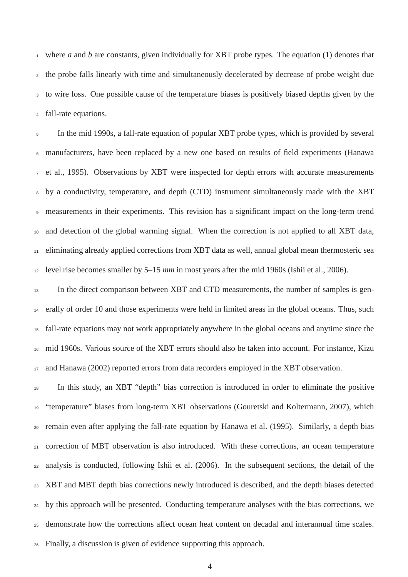where *a* and *b* are constants, given individually for XBT probe types. The equation (1) denotes that the probe falls linearly with time and simultaneously decelerated by decrease of probe weight due to wire loss. One possible cause of the temperature biases is positively biased depths given by the fall-rate equations.

 In the mid 1990s, a fall-rate equation of popular XBT probe types, which is provided by several manufacturers, have been replaced by a new one based on results of field experiments (Hanawa et al., 1995). Observations by XBT were inspected for depth errors with accurate measurements by a conductivity, temperature, and depth (CTD) instrument simultaneously made with the XBT measurements in their experiments. This revision has a significant impact on the long-term trend and detection of the global warming signal. When the correction is not applied to all XBT data, eliminating already applied corrections from XBT data as well, annual global mean thermosteric sea level rise becomes smaller by 5–15 *mm* in most years after the mid 1960s (Ishii et al., 2006).

<sup>13</sup> In the direct comparison between XBT and CTD measurements, the number of samples is gen- erally of order 10 and those experiments were held in limited areas in the global oceans. Thus, such fall-rate equations may not work appropriately anywhere in the global oceans and anytime since the mid 1960s. Various source of the XBT errors should also be taken into account. For instance, Kizu and Hanawa (2002) reported errors from data recorders employed in the XBT observation.

 In this study, an XBT "depth" bias correction is introduced in order to eliminate the positive "temperature" biases from long-term XBT observations (Gouretski and Koltermann, 2007), which remain even after applying the fall-rate equation by Hanawa et al. (1995). Similarly, a depth bias correction of MBT observation is also introduced. With these corrections, an ocean temperature analysis is conducted, following Ishii et al. (2006). In the subsequent sections, the detail of the XBT and MBT depth bias corrections newly introduced is described, and the depth biases detected by this approach will be presented. Conducting temperature analyses with the bias corrections, we demonstrate how the corrections affect ocean heat content on decadal and interannual time scales. Finally, a discussion is given of evidence supporting this approach.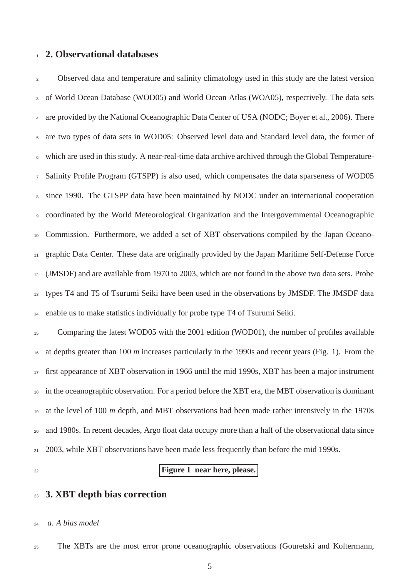#### **2. Observational databases**

 Observed data and temperature and salinity climatology used in this study are the latest version of World Ocean Database (WOD05) and World Ocean Atlas (WOA05), respectively. The data sets 4 are provided by the National Oceanographic Data Center of USA (NODC; Boyer et al., 2006). There are two types of data sets in WOD05: Observed level data and Standard level data, the former of which are used in this study. A near-real-time data archive archived through the Global Temperature- Salinity Profile Program (GTSPP) is also used, which compensates the data sparseness of WOD05 since 1990. The GTSPP data have been maintained by NODC under an international cooperation coordinated by the World Meteorological Organization and the Intergovernmental Oceanographic Commission. Furthermore, we added a set of XBT observations compiled by the Japan Oceano- graphic Data Center. These data are originally provided by the Japan Maritime Self-Defense Force (JMSDF) and are available from 1970 to 2003, which are not found in the above two data sets. Probe types T4 and T5 of Tsurumi Seiki have been used in the observations by JMSDF. The JMSDF data enable us to make statistics individually for probe type T4 of Tsurumi Seiki.

<sup>15</sup> Comparing the latest WOD05 with the 2001 edition (WOD01), the number of profiles available at depths greater than 100 *m* increases particularly in the 1990s and recent years (Fig. 1). From the first appearance of XBT observation in 1966 until the mid 1990s, XBT has been a major instrument in the oceanographic observation. For a period before the XBT era, the MBT observation is dominant at the level of 100 *m* depth, and MBT observations had been made rather intensively in the 1970s and 1980s. In recent decades, Argo float data occupy more than a half of the observational data since 2003, while XBT observations have been made less frequently than before the mid 1990s.

## **Figure 1 near here, please.**

## **3. XBT depth bias correction**

#### *a*. *A bias model*

The XBTs are the most error prone oceanographic observations (Gouretski and Koltermann,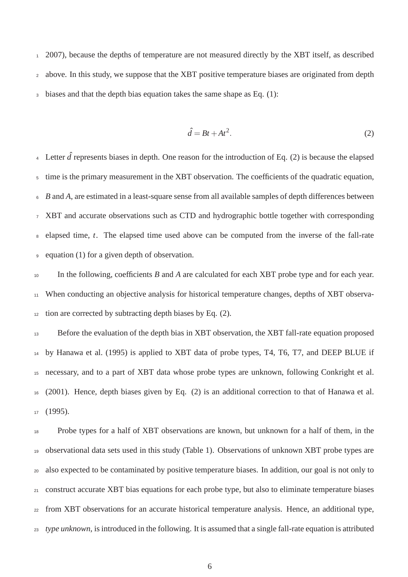2007), because the depths of temperature are not measured directly by the XBT itself, as described above. In this study, we suppose that the XBT positive temperature biases are originated from depth biases and that the depth bias equation takes the same shape as Eq. (1):

$$
\hat{d} = Bt + At^2. \tag{2}
$$

<sup>4</sup> Letter  $\hat{d}$  represents biases in depth. One reason for the introduction of Eq. (2) is because the elapsed time is the primary measurement in the XBT observation. The coefficients of the quadratic equation, *B* and *A*, are estimated in a least-square sense from all available samples of depth differences between XBT and accurate observations such as CTD and hydrographic bottle together with corresponding elapsed time, *t*. The elapsed time used above can be computed from the inverse of the fall-rate equation (1) for a given depth of observation.

 In the following, coefficients *B* and *A* are calculated for each XBT probe type and for each year. When conducting an objective analysis for historical temperature changes, depths of XBT observa-tion are corrected by subtracting depth biases by Eq. (2).

13 Before the evaluation of the depth bias in XBT observation, the XBT fall-rate equation proposed by Hanawa et al. (1995) is applied to XBT data of probe types, T4, T6, T7, and DEEP BLUE if necessary, and to a part of XBT data whose probe types are unknown, following Conkright et al. (2001). Hence, depth biases given by Eq. (2) is an additional correction to that of Hanawa et al. (1995).

 Probe types for a half of XBT observations are known, but unknown for a half of them, in the observational data sets used in this study (Table 1). Observations of unknown XBT probe types are also expected to be contaminated by positive temperature biases. In addition, our goal is not only to construct accurate XBT bias equations for each probe type, but also to eliminate temperature biases from XBT observations for an accurate historical temperature analysis. Hence, an additional type, *type unknown*, is introduced in the following. It is assumed that a single fall-rate equation is attributed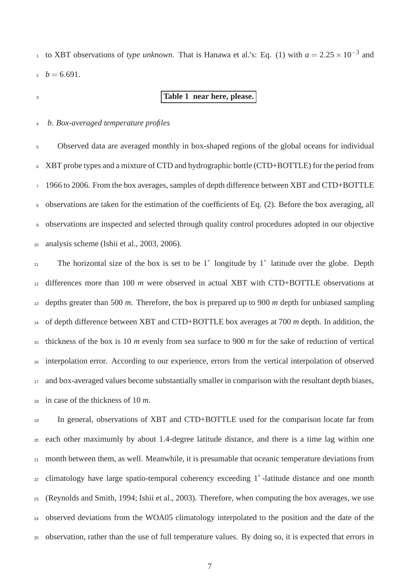to XBT observations of *type unknown*. That is Hanawa et al.'s: Eq. (1) with  $a = 2.25 \times 10^{-3}$  and  $b = 6.691$ .

## **Table 1 near here, please.**

*b*. *Box-averaged temperature profiles*

 Observed data are averaged monthly in box-shaped regions of the global oceans for individual XBT probe types and a mixture of CTD and hydrographic bottle (CTD+BOTTLE) for the period from <sup>7</sup> 1966 to 2006. From the box averages, samples of depth difference between XBT and CTD+BOTTLE observations are taken for the estimation of the coefficients of Eq. (2). Before the box averaging, all observations are inspected and selected through quality control procedures adopted in our objective analysis scheme (Ishii et al., 2003, 2006).

 The horizontal size of the box is set to be 1˚ longitude by 1˚ latitude over the globe. Depth differences more than 100 *m* were observed in actual XBT with CTD+BOTTLE observations at depths greater than 500 *m*. Therefore, the box is prepared up to 900 *m* depth for unbiased sampling of depth difference between XBT and CTD+BOTTLE box averages at 700 *m* depth. In addition, the thickness of the box is 10 *m* evenly from sea surface to 900 *m* for the sake of reduction of vertical interpolation error. According to our experience, errors from the vertical interpolation of observed and box-averaged values become substantially smaller in comparison with the resultant depth biases, in case of the thickness of 10 *m*.

 In general, observations of XBT and CTD+BOTTLE used for the comparison locate far from each other maximumly by about 1.4-degree latitude distance, and there is a time lag within one month between them, as well. Meanwhile, it is presumable that oceanic temperature deviations from climatology have large spatio-temporal coherency exceeding 1˚ -latitude distance and one month (Reynolds and Smith, 1994; Ishii et al., 2003). Therefore, when computing the box averages, we use observed deviations from the WOA05 climatology interpolated to the position and the date of the observation, rather than the use of full temperature values. By doing so, it is expected that errors in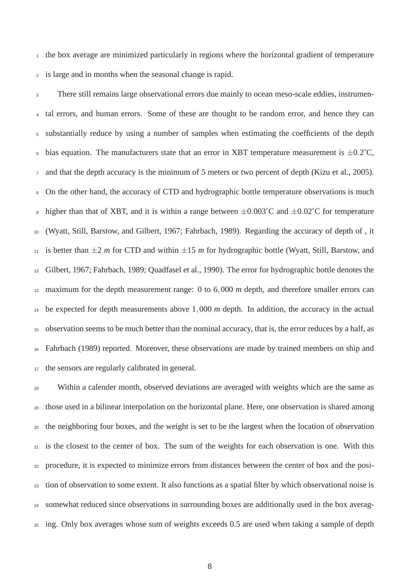the box average are minimized particularly in regions where the horizontal gradient of temperature is large and in months when the seasonal change is rapid.

 There still remains large observational errors due mainly to ocean meso-scale eddies, instrumen- tal errors, and human errors. Some of these are thought to be random error, and hence they can substantially reduce by using a number of samples when estimating the coefficients of the depth 6 bias equation. The manufacturers state that an error in XBT temperature measurement is  $\pm 0.2^{\circ}$ C, and that the depth accuracy is the minimum of 5 meters or two percent of depth (Kizu et al., 2005). On the other hand, the accuracy of CTD and hydrographic bottle temperature observations is much 9 higher than that of XBT, and it is within a range between  $\pm 0.003^{\circ}$ C and  $\pm 0.02^{\circ}$ C for temperature (Wyatt, Still, Barstow, and Gilbert, 1967; Fahrbach, 1989). Regarding the accuracy of depth of , it 11 is better than  $\pm 2$  *m* for CTD and within  $\pm 15$  *m* for hydrographic bottle (Wyatt, Still, Barstow, and Gilbert, 1967; Fahrbach, 1989; Quadfasel et al., 1990). The error for hydrographic bottle denotes the maximum for the depth measurement range: 0 to 6,000 *m* depth, and therefore smaller errors can be expected for depth measurements above 1,000 *m* depth. In addition, the accuracy in the actual observation seems to be much better than the nominal accuracy, that is, the error reduces by a half, as Fahrbach (1989) reported. Moreover, these observations are made by trained members on ship and the sensors are regularly calibrated in general.

 Within a calender month, observed deviations are averaged with weights which are the same as those used in a bilinear interpolation on the horizontal plane. Here, one observation is shared among the neighboring four boxes, and the weight is set to be the largest when the location of observation is the closest to the center of box. The sum of the weights for each observation is one. With this procedure, it is expected to minimize errors from distances between the center of box and the posi- tion of observation to some extent. It also functions as a spatial filter by which observational noise is somewhat reduced since observations in surrounding boxes are additionally used in the box averag-ing. Only box averages whose sum of weights exceeds 0.5 are used when taking a sample of depth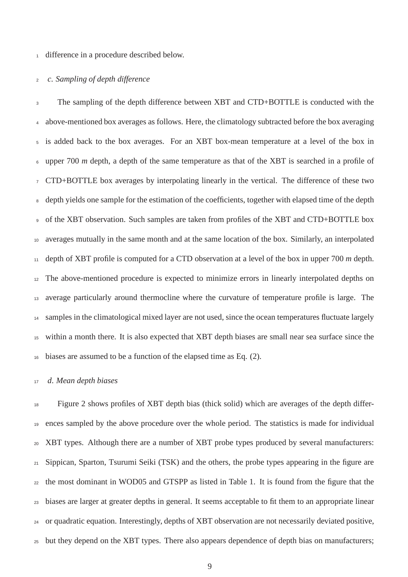#### difference in a procedure described below.

#### *c*. *Sampling of depth difference*

 The sampling of the depth difference between XBT and CTD+BOTTLE is conducted with the above-mentioned box averages as follows. Here, the climatology subtracted before the box averaging is added back to the box averages. For an XBT box-mean temperature at a level of the box in upper 700 *m* depth, a depth of the same temperature as that of the XBT is searched in a profile of CTD+BOTTLE box averages by interpolating linearly in the vertical. The difference of these two depth yields one sample for the estimation of the coefficients, together with elapsed time of the depth of the XBT observation. Such samples are taken from profiles of the XBT and CTD+BOTTLE box averages mutually in the same month and at the same location of the box. Similarly, an interpolated depth of XBT profile is computed for a CTD observation at a level of the box in upper 700 *m* depth. The above-mentioned procedure is expected to minimize errors in linearly interpolated depths on average particularly around thermocline where the curvature of temperature profile is large. The <sup>14</sup> samples in the climatological mixed layer are not used, since the ocean temperatures fluctuate largely within a month there. It is also expected that XBT depth biases are small near sea surface since the biases are assumed to be a function of the elapsed time as Eq. (2).

#### *d*. *Mean depth biases*

 Figure 2 shows profiles of XBT depth bias (thick solid) which are averages of the depth differ- ences sampled by the above procedure over the whole period. The statistics is made for individual XBT types. Although there are a number of XBT probe types produced by several manufacturers: Sippican, Sparton, Tsurumi Seiki (TSK) and the others, the probe types appearing in the figure are the most dominant in WOD05 and GTSPP as listed in Table 1. It is found from the figure that the biases are larger at greater depths in general. It seems acceptable to fit them to an appropriate linear or quadratic equation. Interestingly, depths of XBT observation are not necessarily deviated positive, but they depend on the XBT types. There also appears dependence of depth bias on manufacturers;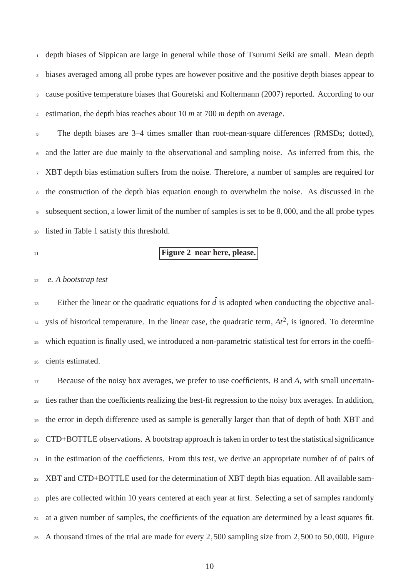depth biases of Sippican are large in general while those of Tsurumi Seiki are small. Mean depth biases averaged among all probe types are however positive and the positive depth biases appear to cause positive temperature biases that Gouretski and Koltermann (2007) reported. According to our estimation, the depth bias reaches about 10 *m* at 700 *m* depth on average.

 The depth biases are 3–4 times smaller than root-mean-square differences (RMSDs; dotted), and the latter are due mainly to the observational and sampling noise. As inferred from this, the XBT depth bias estimation suffers from the noise. Therefore, a number of samples are required for the construction of the depth bias equation enough to overwhelm the noise. As discussed in the subsequent section, a lower limit of the number of samples is set to be 8,000, and the all probe types listed in Table 1 satisfy this threshold.

$$
\overline{11}
$$

## **Figure 2 near here, please.**

#### *e*. *A bootstrap test*

Either the linear or the quadratic equations for  $\hat{d}$  is adopted when conducting the objective anal-<sup>14</sup> ysis of historical temperature. In the linear case, the quadratic term,  $At^2$ , is ignored. To determine which equation is finally used, we introduced a non-parametric statistical test for errors in the coeffi-cients estimated.

 Because of the noisy box averages, we prefer to use coefficients, *B* and *A*, with small uncertain- ties rather than the coefficients realizing the best-fit regression to the noisy box averages. In addition, the error in depth difference used as sample is generally larger than that of depth of both XBT and CTD+BOTTLE observations. A bootstrap approach is taken in order to test the statistical significance in the estimation of the coefficients. From this test, we derive an appropriate number of of pairs of XBT and CTD+BOTTLE used for the determination of XBT depth bias equation. All available sam- ples are collected within 10 years centered at each year at first. Selecting a set of samples randomly at a given number of samples, the coefficients of the equation are determined by a least squares fit. A thousand times of the trial are made for every 2,500 sampling size from 2,500 to 50,000. Figure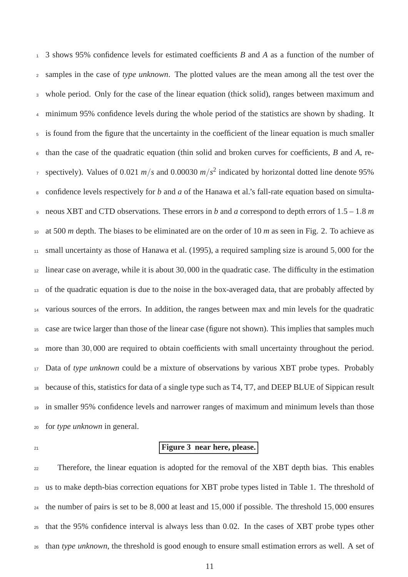3 shows 95% confidence levels for estimated coefficients *B* and *A* as a function of the number of samples in the case of *type unknown*. The plotted values are the mean among all the test over the whole period. Only for the case of the linear equation (thick solid), ranges between maximum and minimum 95% confidence levels during the whole period of the statistics are shown by shading. It is found from the figure that the uncertainty in the coefficient of the linear equation is much smaller than the case of the quadratic equation (thin solid and broken curves for coefficients, *B* and *A*, respectively). Values of 0.021  $m/s$  and 0.00030  $m/s^2$  indicated by horizontal dotted line denote 95% confidence levels respectively for *b* and *a* of the Hanawa et al.'s fall-rate equation based on simulta- neous XBT and CTD observations. These errors in *b* and *a* correspond to depth errors of 1.5 – 1.8 *m* at 500 *m* depth. The biases to be eliminated are on the order of 10 *m* as seen in Fig. 2. To achieve as small uncertainty as those of Hanawa et al. (1995), a required sampling size is around 5,000 for the linear case on average, while it is about 30,000 in the quadratic case. The difficulty in the estimation of the quadratic equation is due to the noise in the box-averaged data, that are probably affected by various sources of the errors. In addition, the ranges between max and min levels for the quadratic case are twice larger than those of the linear case (figure not shown). This implies that samples much more than 30,000 are required to obtain coefficients with small uncertainty throughout the period. Data of *type unknown* could be a mixture of observations by various XBT probe types. Probably because of this, statistics for data of a single type such as T4, T7, and DEEP BLUE of Sippican result in smaller 95% confidence levels and narrower ranges of maximum and minimum levels than those for *type unknown* in general.

# **Figure 3 near here, please.**

<sub>22</sub> Therefore, the linear equation is adopted for the removal of the XBT depth bias. This enables us to make depth-bias correction equations for XBT probe types listed in Table 1. The threshold of the number of pairs is set to be 8,000 at least and 15,000 if possible. The threshold 15,000 ensures that the 95% confidence interval is always less than 0.02. In the cases of XBT probe types other than *type unknown*, the threshold is good enough to ensure small estimation errors as well. A set of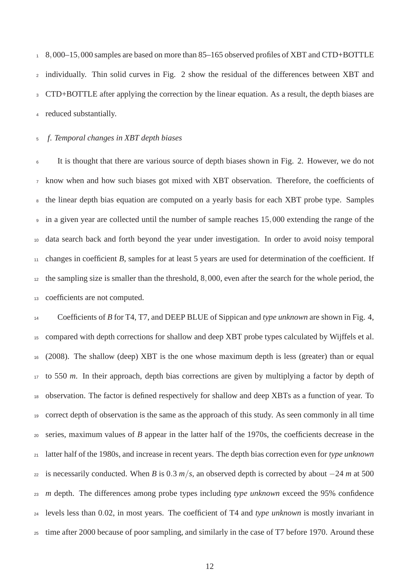8,000–15,000 samples are based on more than 85–165 observed profiles of XBT and CTD+BOTTLE individually. Thin solid curves in Fig. 2 show the residual of the differences between XBT and CTD+BOTTLE after applying the correction by the linear equation. As a result, the depth biases are reduced substantially.

#### *f*. *Temporal changes in XBT depth biases*

 It is thought that there are various source of depth biases shown in Fig. 2. However, we do not know when and how such biases got mixed with XBT observation. Therefore, the coefficients of the linear depth bias equation are computed on a yearly basis for each XBT probe type. Samples in a given year are collected until the number of sample reaches 15,000 extending the range of the data search back and forth beyond the year under investigation. In order to avoid noisy temporal changes in coefficient *B*, samples for at least 5 years are used for determination of the coefficient. If the sampling size is smaller than the threshold, 8,000, even after the search for the whole period, the coefficients are not computed.

 Coefficients of *B* for T4, T7, and DEEP BLUE of Sippican and *type unknown* are shown in Fig. 4, compared with depth corrections for shallow and deep XBT probe types calculated by Wijffels et al. (2008). The shallow (deep) XBT is the one whose maximum depth is less (greater) than or equal to 550 *m*. In their approach, depth bias corrections are given by multiplying a factor by depth of observation. The factor is defined respectively for shallow and deep XBTs as a function of year. To correct depth of observation is the same as the approach of this study. As seen commonly in all time series, maximum values of *B* appear in the latter half of the 1970s, the coefficients decrease in the latter half of the 1980s, and increase in recent years. The depth bias correction even for *type unknown* is necessarily conducted. When *B* is 0.3 *m*/*s*, an observed depth is corrected by about −24 *m* at 500 *m* depth. The differences among probe types including *type unknown* exceed the 95% confidence levels less than 0.02, in most years. The coefficient of T4 and *type unknown* is mostly invariant in time after 2000 because of poor sampling, and similarly in the case of T7 before 1970. Around these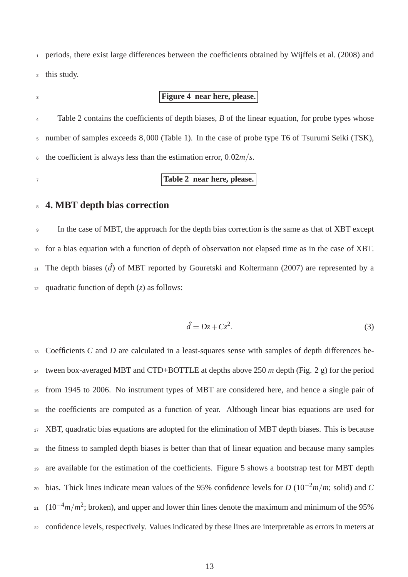periods, there exist large differences between the coefficients obtained by Wijffels et al. (2008) and this study.

# **Figure 4 near here, please.**

<sup>4</sup> Table 2 contains the coefficients of depth biases, *B* of the linear equation, for probe types whose number of samples exceeds 8,000 (Table 1). In the case of probe type T6 of Tsurumi Seiki (TSK), the coefficient is always less than the estimation error, 0.02*m*/*s*.

**Table 2 near here, please.**

### **4. MBT depth bias correction**

 In the case of MBT, the approach for the depth bias correction is the same as that of XBT except for a bias equation with a function of depth of observation not elapsed time as in the case of XBT. 11 The depth biases  $(\hat{d})$  of MBT reported by Gouretski and Koltermann (2007) are represented by a 12 quadratic function of depth  $(z)$  as follows:

$$
\hat{d} = Dz + Cz^2. \tag{3}
$$

 Coefficients *C* and *D* are calculated in a least-squares sense with samples of depth differences be- tween box-averaged MBT and CTD+BOTTLE at depths above 250 *m* depth (Fig. 2 g) for the period from 1945 to 2006. No instrument types of MBT are considered here, and hence a single pair of the coefficients are computed as a function of year. Although linear bias equations are used for XBT, quadratic bias equations are adopted for the elimination of MBT depth biases. This is because the fitness to sampled depth biases is better than that of linear equation and because many samples are available for the estimation of the coefficients. Figure 5 shows a bootstrap test for MBT depth bias. Thick lines indicate mean values of the 95% confidence levels for *D* (10−<sup>2</sup> *m*/*m*; solid) and *C*  $21 \frac{(10^{-4}m/m^2)}{25.25}$ ; broken), and upper and lower thin lines denote the maximum and minimum of the 95% confidence levels, respectively. Values indicated by these lines are interpretable as errors in meters at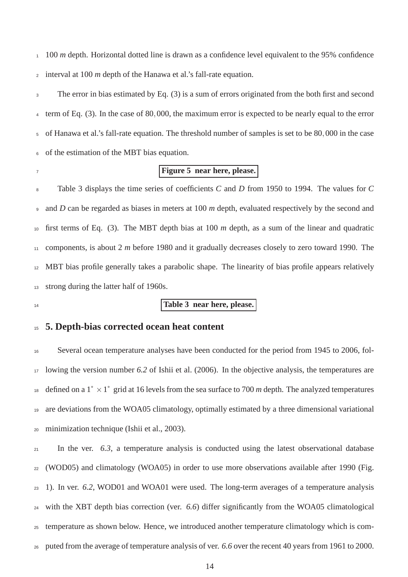100 *m* depth. Horizontal dotted line is drawn as a confidence level equivalent to the 95% confidence interval at 100 *m* depth of the Hanawa et al.'s fall-rate equation.

 The error in bias estimated by Eq. (3) is a sum of errors originated from the both first and second term of Eq. (3). In the case of 80,000, the maximum error is expected to be nearly equal to the error of Hanawa et al.'s fall-rate equation. The threshold number of samples is set to be 80,000 in the case of the estimation of the MBT bias equation.

## **Figure 5 near here, please.**

 Table 3 displays the time series of coefficients *C* and *D* from 1950 to 1994. The values for *C* and *D* can be regarded as biases in meters at 100 *m* depth, evaluated respectively by the second and first terms of Eq. (3). The MBT depth bias at 100 *m* depth, as a sum of the linear and quadratic components, is about 2 *m* before 1980 and it gradually decreases closely to zero toward 1990. The MBT bias profile generally takes a parabolic shape. The linearity of bias profile appears relatively 13 strong during the latter half of 1960s.

## **Table 3 near here, please.**

## **5. Depth-bias corrected ocean heat content**

 Several ocean temperature analyses have been conducted for the period from 1945 to 2006, fol- lowing the version number *6.2* of Ishii et al. (2006). In the objective analysis, the temperatures are 18 defined on a  $1° \times 1°$  grid at 16 levels from the sea surface to 700 *m* depth. The analyzed temperatures are deviations from the WOA05 climatology, optimally estimated by a three dimensional variational minimization technique (Ishii et al., 2003).

 In the ver. *6.3*, a temperature analysis is conducted using the latest observational database (WOD05) and climatology (WOA05) in order to use more observations available after 1990 (Fig. 1). In ver. *6.2*, WOD01 and WOA01 were used. The long-term averages of a temperature analysis with the XBT depth bias correction (ver. *6.6*) differ significantly from the WOA05 climatological temperature as shown below. Hence, we introduced another temperature climatology which is com-puted from the average of temperature analysis of ver. *6.6* over the recent 40 years from 1961 to 2000.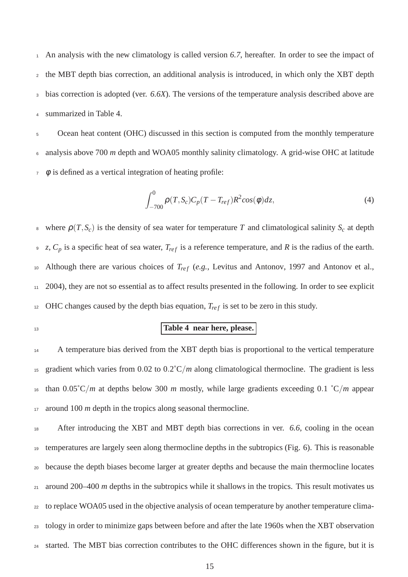An analysis with the new climatology is called version *6.7*, hereafter. In order to see the impact of the MBT depth bias correction, an additional analysis is introduced, in which only the XBT depth bias correction is adopted (ver. *6.6X*). The versions of the temperature analysis described above are summarized in Table 4.

5 Ocean heat content (OHC) discussed in this section is computed from the monthly temperature analysis above 700 *m* depth and WOA05 monthly salinity climatology. A grid-wise OHC at latitude  $\phi$  is defined as a vertical integration of heating profile:

$$
\int_{-700}^{0} \rho(T, S_c) C_p(T - T_{ref}) R^2 cos(\phi) dz,
$$
\n(4)

8 where  $\rho(T, S_c)$  is the density of sea water for temperature *T* and climatological salinity  $S_c$  at depth  $\overline{z}$ ,  $C_p$  is a specific heat of sea water,  $T_{ref}$  is a reference temperature, and *R* is the radius of the earth. 10 Although there are various choices of  $T_{ref}$  (e.g., Levitus and Antonov, 1997 and Antonov et al., 2004), they are not so essential as to affect results presented in the following. In order to see explicit OHC changes caused by the depth bias equation,  $T_{ref}$  is set to be zero in this study.

# **Table 4 near here, please.**

14 A temperature bias derived from the XBT depth bias is proportional to the vertical temperature gradient which varies from 0.02 to 0.2˚C/*m* along climatological thermocline. The gradient is less than 0.05˚C/*m* at depths below 300 *m* mostly, while large gradients exceeding 0.1 ˚C/*m* appear around 100 *m* depth in the tropics along seasonal thermocline.

 After introducing the XBT and MBT depth bias corrections in ver. *6.6*, cooling in the ocean temperatures are largely seen along thermocline depths in the subtropics (Fig. 6). This is reasonable because the depth biases become larger at greater depths and because the main thermocline locates <sup>21</sup> around 200–400 *m* depths in the subtropics while it shallows in the tropics. This result motivates us to replace WOA05 used in the objective analysis of ocean temperature by another temperature clima- tology in order to minimize gaps between before and after the late 1960s when the XBT observation started. The MBT bias correction contributes to the OHC differences shown in the figure, but it is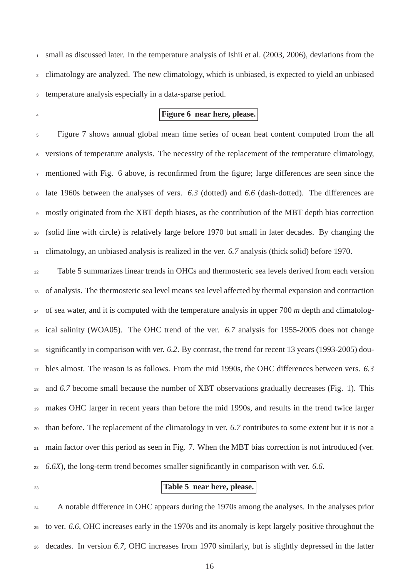small as discussed later. In the temperature analysis of Ishii et al. (2003, 2006), deviations from the climatology are analyzed. The new climatology, which is unbiased, is expected to yield an unbiased temperature analysis especially in a data-sparse period.

#### **Figure 6 near here, please.**

 Figure 7 shows annual global mean time series of ocean heat content computed from the all versions of temperature analysis. The necessity of the replacement of the temperature climatology, mentioned with Fig. 6 above, is reconfirmed from the figure; large differences are seen since the late 1960s between the analyses of vers. *6.3* (dotted) and *6.6* (dash-dotted). The differences are mostly originated from the XBT depth biases, as the contribution of the MBT depth bias correction (solid line with circle) is relatively large before 1970 but small in later decades. By changing the climatology, an unbiased analysis is realized in the ver. *6.7* analysis (thick solid) before 1970.

 Table 5 summarizes linear trends in OHCs and thermosteric sea levels derived from each version of analysis. The thermosteric sea level means sea level affected by thermal expansion and contraction of sea water, and it is computed with the temperature analysis in upper 700 *m* depth and climatolog- ical salinity (WOA05). The OHC trend of the ver. *6.7* analysis for 1955-2005 does not change significantly in comparison with ver. *6.2*. By contrast, the trend for recent 13 years (1993-2005) dou- bles almost. The reason is as follows. From the mid 1990s, the OHC differences between vers. *6.3* and *6.7* become small because the number of XBT observations gradually decreases (Fig. 1). This makes OHC larger in recent years than before the mid 1990s, and results in the trend twice larger than before. The replacement of the climatology in ver. *6.7* contributes to some extent but it is not a main factor over this period as seen in Fig. 7. When the MBT bias correction is not introduced (ver. *6.6X*), the long-term trend becomes smaller significantly in comparison with ver. *6.6*.

## **Table 5 near here, please.**

24 A notable difference in OHC appears during the 1970s among the analyses. In the analyses prior to ver. *6.6*, OHC increases early in the 1970s and its anomaly is kept largely positive throughout the decades. In version *6.7*, OHC increases from 1970 similarly, but is slightly depressed in the latter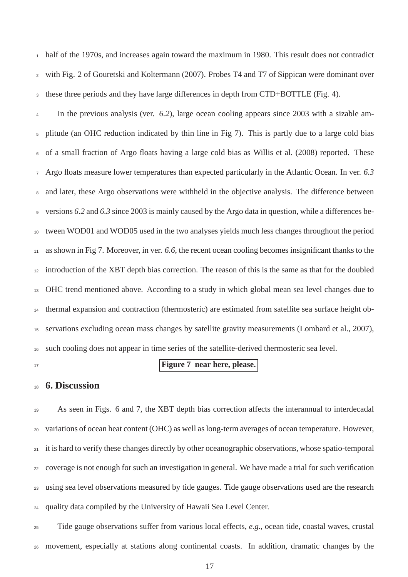half of the 1970s, and increases again toward the maximum in 1980. This result does not contradict with Fig. 2 of Gouretski and Koltermann (2007). Probes T4 and T7 of Sippican were dominant over these three periods and they have large differences in depth from CTD+BOTTLE (Fig. 4).

 In the previous analysis (ver. *6.2*), large ocean cooling appears since 2003 with a sizable am- plitude (an OHC reduction indicated by thin line in Fig 7). This is partly due to a large cold bias of a small fraction of Argo floats having a large cold bias as Willis et al. (2008) reported. These Argo floats measure lower temperatures than expected particularly in the Atlantic Ocean. In ver. *6.3* and later, these Argo observations were withheld in the objective analysis. The difference between versions *6.2* and *6.3* since 2003 is mainly caused by the Argo data in question, while a differences be- tween WOD01 and WOD05 used in the two analyses yields much less changes throughout the period as shown in Fig 7. Moreover, in ver. *6.6*, the recent ocean cooling becomes insignificant thanks to the introduction of the XBT depth bias correction. The reason of this is the same as that for the doubled OHC trend mentioned above. According to a study in which global mean sea level changes due to thermal expansion and contraction (thermosteric) are estimated from satellite sea surface height ob- servations excluding ocean mass changes by satellite gravity measurements (Lombard et al., 2007), such cooling does not appear in time series of the satellite-derived thermosteric sea level.

## **Figure 7 near here, please.**

## **6. Discussion**

 As seen in Figs. 6 and 7, the XBT depth bias correction affects the interannual to interdecadal variations of ocean heat content (OHC) as well as long-term averages of ocean temperature. However, it is hard to verify these changes directly by other oceanographic observations, whose spatio-temporal coverage is not enough for such an investigation in general. We have made a trial for such verification using sea level observations measured by tide gauges. Tide gauge observations used are the research quality data compiled by the University of Hawaii Sea Level Center.

 Tide gauge observations suffer from various local effects, *e.g.*, ocean tide, coastal waves, crustal movement, especially at stations along continental coasts. In addition, dramatic changes by the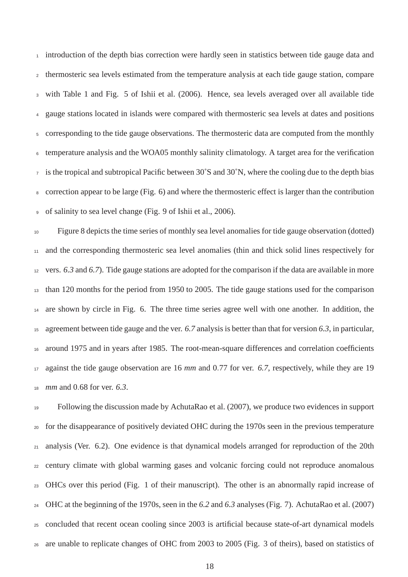introduction of the depth bias correction were hardly seen in statistics between tide gauge data and thermosteric sea levels estimated from the temperature analysis at each tide gauge station, compare with Table 1 and Fig. 5 of Ishii et al. (2006). Hence, sea levels averaged over all available tide gauge stations located in islands were compared with thermosteric sea levels at dates and positions corresponding to the tide gauge observations. The thermosteric data are computed from the monthly temperature analysis and the WOA05 monthly salinity climatology. A target area for the verification is the tropical and subtropical Pacific between 30˚S and 30˚N, where the cooling due to the depth bias correction appear to be large (Fig. 6) and where the thermosteric effect is larger than the contribution of salinity to sea level change (Fig. 9 of Ishii et al., 2006).

 Figure 8 depicts the time series of monthly sea level anomalies for tide gauge observation (dotted) and the corresponding thermosteric sea level anomalies (thin and thick solid lines respectively for vers. *6.3* and *6.7*). Tide gauge stations are adopted for the comparison if the data are available in more than 120 months for the period from 1950 to 2005. The tide gauge stations used for the comparison are shown by circle in Fig. 6. The three time series agree well with one another. In addition, the agreement between tide gauge and the ver. *6.7* analysis is better than that for version *6.3*, in particular, around 1975 and in years after 1985. The root-mean-square differences and correlation coefficients against the tide gauge observation are 16 *mm* and 0.77 for ver. *6.7*, respectively, while they are 19 *mm* and 0.68 for ver. *6.3*.

 Following the discussion made by AchutaRao et al. (2007), we produce two evidences in support for the disappearance of positively deviated OHC during the 1970s seen in the previous temperature analysis (Ver. 6.2). One evidence is that dynamical models arranged for reproduction of the 20th century climate with global warming gases and volcanic forcing could not reproduce anomalous OHCs over this period (Fig. 1 of their manuscript). The other is an abnormally rapid increase of OHC at the beginning of the 1970s, seen in the *6.2* and *6.3* analyses (Fig. 7). AchutaRao et al. (2007) concluded that recent ocean cooling since 2003 is artificial because state-of-art dynamical models are unable to replicate changes of OHC from 2003 to 2005 (Fig. 3 of theirs), based on statistics of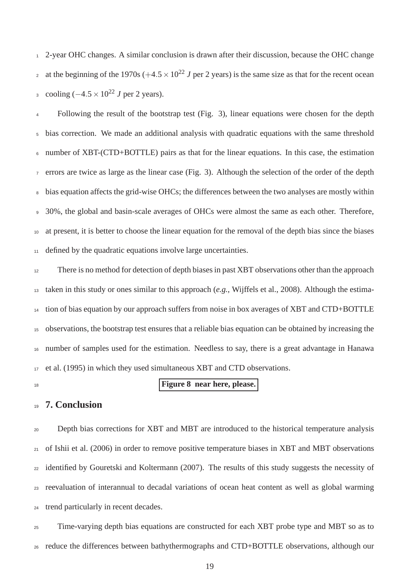2-year OHC changes. A similar conclusion is drawn after their discussion, because the OHC change at the beginning of the 1970s  $(+4.5 \times 10^{22} J$  per 2 years) is the same size as that for the recent ocean 3 cooling  $(-4.5 \times 10^{22} J \text{ per } 2 \text{ years}).$ 

 Following the result of the bootstrap test (Fig. 3), linear equations were chosen for the depth bias correction. We made an additional analysis with quadratic equations with the same threshold number of XBT-(CTD+BOTTLE) pairs as that for the linear equations. In this case, the estimation errors are twice as large as the linear case (Fig. 3). Although the selection of the order of the depth bias equation affects the grid-wise OHCs; the differences between the two analyses are mostly within 30%, the global and basin-scale averages of OHCs were almost the same as each other. Therefore, at present, it is better to choose the linear equation for the removal of the depth bias since the biases defined by the quadratic equations involve large uncertainties.

<sup>12</sup> There is no method for detection of depth biases in past XBT observations other than the approach taken in this study or ones similar to this approach (*e.g.*, Wijffels et al., 2008). Although the estima- tion of bias equation by our approach suffers from noise in box averages of XBT and CTD+BOTTLE observations, the bootstrap test ensures that a reliable bias equation can be obtained by increasing the number of samples used for the estimation. Needless to say, there is a great advantage in Hanawa et al. (1995) in which they used simultaneous XBT and CTD observations.

#### **Figure 8 near here, please.**

## **7. Conclusion**

 Depth bias corrections for XBT and MBT are introduced to the historical temperature analysis of Ishii et al. (2006) in order to remove positive temperature biases in XBT and MBT observations identified by Gouretski and Koltermann (2007). The results of this study suggests the necessity of reevaluation of interannual to decadal variations of ocean heat content as well as global warming trend particularly in recent decades.

 Time-varying depth bias equations are constructed for each XBT probe type and MBT so as to reduce the differences between bathythermographs and CTD+BOTTLE observations, although our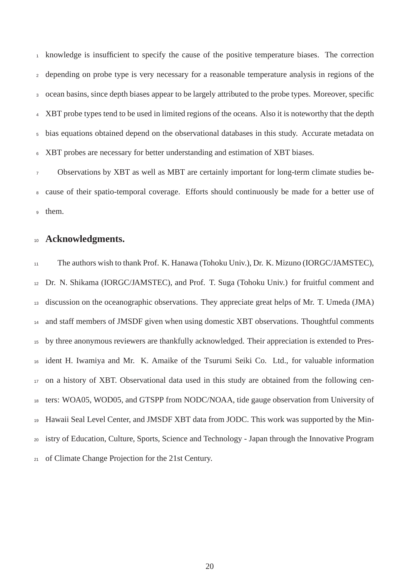knowledge is insufficient to specify the cause of the positive temperature biases. The correction depending on probe type is very necessary for a reasonable temperature analysis in regions of the ocean basins, since depth biases appear to be largely attributed to the probe types. Moreover, specific XBT probe types tend to be used in limited regions of the oceans. Also it is noteworthy that the depth bias equations obtained depend on the observational databases in this study. Accurate metadata on XBT probes are necessary for better understanding and estimation of XBT biases.

 Observations by XBT as well as MBT are certainly important for long-term climate studies be- cause of their spatio-temporal coverage. Efforts should continuously be made for a better use of them.

## **Acknowledgments.**

 The authors wish to thank Prof. K. Hanawa (Tohoku Univ.), Dr. K. Mizuno (IORGC/JAMSTEC), Dr. N. Shikama (IORGC/JAMSTEC), and Prof. T. Suga (Tohoku Univ.) for fruitful comment and discussion on the oceanographic observations. They appreciate great helps of Mr. T. Umeda (JMA) and staff members of JMSDF given when using domestic XBT observations. Thoughtful comments by three anonymous reviewers are thankfully acknowledged. Their appreciation is extended to Pres- ident H. Iwamiya and Mr. K. Amaike of the Tsurumi Seiki Co. Ltd., for valuable information on a history of XBT. Observational data used in this study are obtained from the following cen- ters: WOA05, WOD05, and GTSPP from NODC/NOAA, tide gauge observation from University of Hawaii Seal Level Center, and JMSDF XBT data from JODC. This work was supported by the Min- istry of Education, Culture, Sports, Science and Technology - Japan through the Innovative Program of Climate Change Projection for the 21st Century.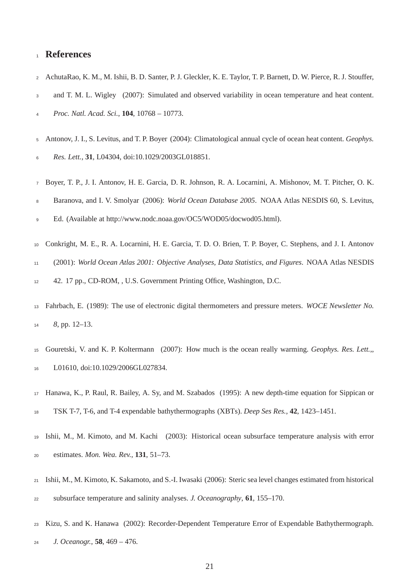## **References**

- AchutaRao, K. M., M. Ishii, B. D. Santer, P. J. Gleckler, K. E. Taylor, T. P. Barnett, D. W. Pierce, R. J. Stouffer,
- and T. M. L. Wigley (2007): Simulated and observed variability in ocean temperature and heat content.
- *Proc. Natl. Acad. Sci.*, **104**, 10768 10773.
- Antonov, J. I., S. Levitus, and T. P. Boyer (2004): Climatological annual cycle of ocean heat content. *Geophys. Res. Lett.*, **31**, L04304, doi:10.1029/2003GL018851.
- Boyer, T. P., J. I. Antonov, H. E. Garcia, D. R. Johnson, R. A. Locarnini, A. Mishonov, M. T. Pitcher, O. K.
- Baranova, and I. V. Smolyar (2006): *World Ocean Database 2005*. NOAA Atlas NESDIS 60, S. Levitus,
- Ed. (Available at http://www.nodc.noaa.gov/OC5/WOD05/docwod05.html).
- Conkright, M. E., R. A. Locarnini, H. E. Garcia, T. D. O. Brien, T. P. Boyer, C. Stephens, and J. I. Antonov

(2001): *World Ocean Atlas 2001: Objective Analyses, Data Statistics, and Figures*. NOAA Atlas NESDIS

42. 17 pp., CD-ROM, , U.S. Government Printing Office, Washington, D.C.

- Fahrbach, E. (1989): The use of electronic digital thermometers and pressure meters. *WOCE Newsletter No. 8*, pp. 12–13.
- Gouretski, V. and K. P. Koltermann (2007): How much is the ocean really warming. *Geophys. Res. Lett.*,, L01610, doi:10.1029/2006GL027834.
- Hanawa, K., P. Raul, R. Bailey, A. Sy, and M. Szabados (1995): A new depth-time equation for Sippican or TSK T-7, T-6, and T-4 expendable bathythermographs (XBTs). *Deep Ses Res.*, **42**, 1423–1451.
- Ishii, M., M. Kimoto, and M. Kachi (2003): Historical ocean subsurface temperature analysis with error estimates. *Mon. Wea. Rev.*, **131**, 51–73.
- Ishii, M., M. Kimoto, K. Sakamoto, and S.-I. Iwasaki (2006): Steric sea level changes estimated from historical subsurface temperature and salinity analyses. *J. Oceanography*, **61**, 155–170.
- Kizu, S. and K. Hanawa (2002): Recorder-Dependent Temperature Error of Expendable Bathythermograph. *J. Oceanogr.*, **58**, 469 – 476.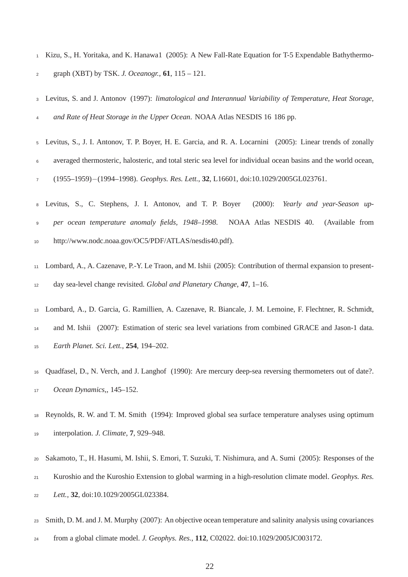Kizu, S., H. Yoritaka, and K. Hanawa1 (2005): A New Fall-Rate Equation for T-5 Expendable Bathythermo-graph (XBT) by TSK. *J. Oceanogr.*, **61**, 115 – 121.

 Levitus, S. and J. Antonov (1997): *limatological and Interannual Variability of Temperature, Heat Storage, and Rate of Heat Storage in the Upper Ocean*. NOAA Atlas NESDIS 16 186 pp.

- Levitus, S., J. I. Antonov, T. P. Boyer, H. E. Garcia, and R. A. Locarnini (2005): Linear trends of zonally averaged thermosteric, halosteric, and total steric sea level for individual ocean basins and the world ocean, (1955–1959)−(1994–1998). *Geophys. Res. Lett.*, **32**, L16601, doi:10.1029/2005GL023761.
- Levitus, S., C. Stephens, J. I. Antonov, and T. P. Boyer (2000): *Yearly and year-Season up- per ocean temperature anomaly fields, 1948–1998*. NOAA Atlas NESDIS 40. (Available from http://www.nodc.noaa.gov/OC5/PDF/ATLAS/nesdis40.pdf).
- Lombard, A., A. Cazenave, P.-Y. Le Traon, and M. Ishii (2005): Contribution of thermal expansion to present-day sea-level change revisited. *Global and Planetary Change*, **47**, 1–16.
- Lombard, A., D. Garcia, G. Ramillien, A. Cazenave, R. Biancale, J. M. Lemoine, F. Flechtner, R. Schmidt,

 and M. Ishii (2007): Estimation of steric sea level variations from combined GRACE and Jason-1 data. *Earth Planet. Sci. Lett.*, **254**, 194–202.

- Quadfasel, D., N. Verch, and J. Langhof (1990): Are mercury deep-sea reversing thermometers out of date?. *Ocean Dynamics*,, 145–152.
- Reynolds, R. W. and T. M. Smith (1994): Improved global sea surface temperature analyses using optimum interpolation. *J. Climate*, **7**, 929–948.
- Sakamoto, T., H. Hasumi, M. Ishii, S. Emori, T. Suzuki, T. Nishimura, and A. Sumi (2005): Responses of the
- Kuroshio and the Kuroshio Extension to global warming in a high-resolution climate model. *Geophys. Res.*
- *Lett.*, **32**, doi:10.1029/2005GL023384.
- Smith, D. M. and J. M. Murphy (2007): An objective ocean temperature and salinity analysis using covariances
- from a global climate model. *J. Geophys. Res.*, **112**, C02022. doi:10.1029/2005JC003172.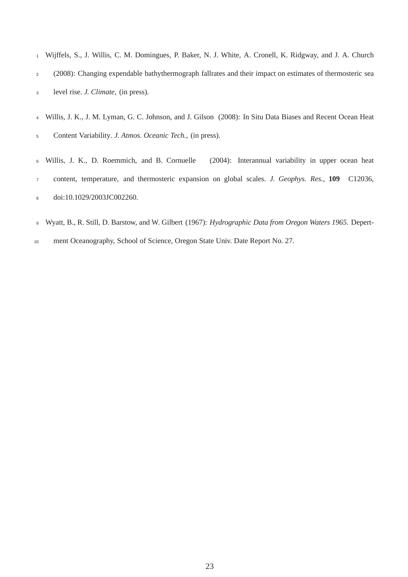Wijffels, S., J. Willis, C. M. Domingues, P. Baker, N. J. White, A. Cronell, K. Ridgway, and J. A. Church (2008): Changing expendable bathythermograph fallrates and their impact on estimates of thermosteric sea level rise. *J. Climate*, (in press).

 Willis, J. K., J. M. Lyman, G. C. Johnson, and J. Gilson (2008): In Situ Data Biases and Recent Ocean Heat Content Variability. *J. Atmos. Oceanic Tech.*, (in press).

 Willis, J. K., D. Roemmich, and B. Cornuelle (2004): Interannual variability in upper ocean heat content, temperature, and thermosteric expansion on global scales. *J. Geophys. Res.*, **109** C12036, doi:10.1029/2003JC002260.

- Wyatt, B., R. Still, D. Barstow, and W. Gilbert (1967): *Hydrographic Data from Oregon Waters 1965*. Depert-
- ment Oceanography, School of Science, Oregon State Univ. Date Report No. 27.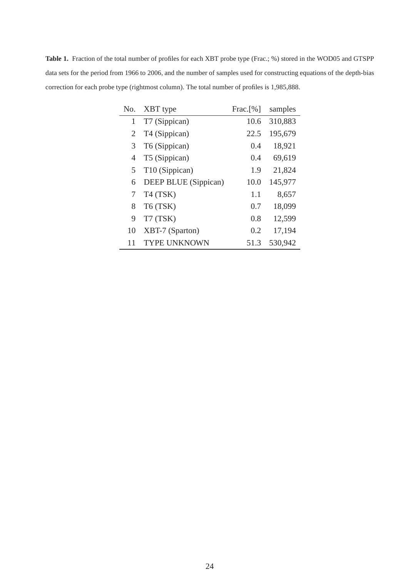**Table 1.** Fraction of the total number of profiles for each XBT probe type (Frac.; %) stored in the WOD05 and GTSPP data sets for the period from 1966 to 2006, and the number of samples used for constructing equations of the depth-bias correction for each probe type (rightmost column). The total number of profiles is 1,985,888.

| No. | XBT type                   | $\text{Frac.}[\%]$ | samples |
|-----|----------------------------|--------------------|---------|
| 1   | T7 (Sippican)              | 10.6               | 310,883 |
| 2   | T4 (Sippican)              | 22.5               | 195,679 |
| 3   | T6 (Sippican)              | 0.4                | 18,921  |
| 4   | T5 (Sippican)              | 0.4                | 69,619  |
| 5   | T <sub>10</sub> (Sippican) | 1.9                | 21,824  |
| 6   | DEEP BLUE (Sippican)       | 10.0               | 145,977 |
| 7   | T <sub>4</sub> (TSK)       | 1.1                | 8,657   |
| 8   | T6 (TSK)                   | 0.7                | 18,099  |
| 9   | T7 (TSK)                   | 0.8                | 12,599  |
| 10  | XBT-7 (Sparton)            | 0.2                | 17,194  |
| 11  | <b>TYPE UNKNOWN</b>        | 51.3               | 530,942 |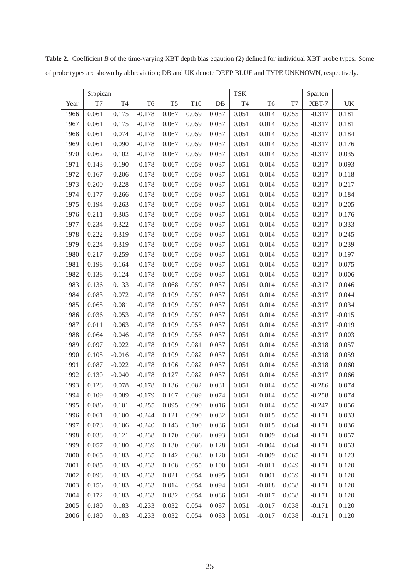|      | Sippican |                |                |                |       |       | <b>TSK</b>     |                |           | Sparton  |           |
|------|----------|----------------|----------------|----------------|-------|-------|----------------|----------------|-----------|----------|-----------|
| Year | T7       | T <sub>4</sub> | T <sub>6</sub> | T <sub>5</sub> | T10   | $DB$  | T <sub>4</sub> | T <sub>6</sub> | $\rm{T}7$ | XBT-7    | <b>UK</b> |
| 1966 | 0.061    | 0.175          | $-0.178$       | 0.067          | 0.059 | 0.037 | 0.051          | 0.014          | 0.055     | $-0.317$ | 0.181     |
| 1967 | 0.061    | 0.175          | $-0.178$       | 0.067          | 0.059 | 0.037 | 0.051          | 0.014          | 0.055     | $-0.317$ | 0.181     |
| 1968 | 0.061    | 0.074          | $-0.178$       | 0.067          | 0.059 | 0.037 | 0.051          | 0.014          | 0.055     | $-0.317$ | 0.184     |
| 1969 | 0.061    | 0.090          | $-0.178$       | 0.067          | 0.059 | 0.037 | 0.051          | 0.014          | 0.055     | $-0.317$ | 0.176     |
| 1970 | 0.062    | 0.102          | $-0.178$       | 0.067          | 0.059 | 0.037 | 0.051          | 0.014          | 0.055     | $-0.317$ | 0.035     |
| 1971 | 0.143    | 0.190          | $-0.178$       | 0.067          | 0.059 | 0.037 | 0.051          | 0.014          | 0.055     | $-0.317$ | 0.093     |
| 1972 | 0.167    | 0.206          | $-0.178$       | 0.067          | 0.059 | 0.037 | 0.051          | 0.014          | 0.055     | $-0.317$ | 0.118     |
| 1973 | 0.200    | 0.228          | $-0.178$       | 0.067          | 0.059 | 0.037 | 0.051          | 0.014          | 0.055     | $-0.317$ | 0.217     |
| 1974 | 0.177    | 0.266          | $-0.178$       | 0.067          | 0.059 | 0.037 | 0.051          | 0.014          | 0.055     | $-0.317$ | 0.184     |
| 1975 | 0.194    | 0.263          | $-0.178$       | 0.067          | 0.059 | 0.037 | 0.051          | 0.014          | 0.055     | $-0.317$ | 0.205     |
| 1976 | 0.211    | 0.305          | $-0.178$       | 0.067          | 0.059 | 0.037 | 0.051          | 0.014          | 0.055     | $-0.317$ | 0.176     |
| 1977 | 0.234    | 0.322          | $-0.178$       | 0.067          | 0.059 | 0.037 | 0.051          | 0.014          | 0.055     | $-0.317$ | 0.333     |
| 1978 | 0.222    | 0.319          | $-0.178$       | 0.067          | 0.059 | 0.037 | 0.051          | 0.014          | 0.055     | $-0.317$ | 0.245     |
| 1979 | 0.224    | 0.319          | $-0.178$       | 0.067          | 0.059 | 0.037 | 0.051          | 0.014          | 0.055     | $-0.317$ | 0.239     |
| 1980 | 0.217    | 0.259          | $-0.178$       | 0.067          | 0.059 | 0.037 | 0.051          | 0.014          | 0.055     | $-0.317$ | 0.197     |
| 1981 | 0.198    | 0.164          | $-0.178$       | 0.067          | 0.059 | 0.037 | 0.051          | 0.014          | 0.055     | $-0.317$ | 0.075     |
| 1982 | 0.138    | 0.124          | $-0.178$       | 0.067          | 0.059 | 0.037 | 0.051          | 0.014          | 0.055     | $-0.317$ | 0.006     |
| 1983 | 0.136    | 0.133          | $-0.178$       | 0.068          | 0.059 | 0.037 | 0.051          | 0.014          | 0.055     | $-0.317$ | 0.046     |
| 1984 | 0.083    | 0.072          | $-0.178$       | 0.109          | 0.059 | 0.037 | 0.051          | 0.014          | 0.055     | $-0.317$ | 0.044     |
| 1985 | 0.065    | 0.081          | $-0.178$       | 0.109          | 0.059 | 0.037 | 0.051          | 0.014          | 0.055     | $-0.317$ | 0.034     |
| 1986 | 0.036    | 0.053          | $-0.178$       | 0.109          | 0.059 | 0.037 | 0.051          | 0.014          | 0.055     | $-0.317$ | $-0.015$  |
| 1987 | 0.011    | 0.063          | $-0.178$       | 0.109          | 0.055 | 0.037 | 0.051          | 0.014          | 0.055     | $-0.317$ | $-0.019$  |
| 1988 | 0.064    | 0.046          | $-0.178$       | 0.109          | 0.056 | 0.037 | 0.051          | 0.014          | 0.055     | $-0.317$ | 0.003     |
| 1989 | 0.097    | 0.022          | $-0.178$       | 0.109          | 0.081 | 0.037 | 0.051          | 0.014          | 0.055     | $-0.318$ | 0.057     |
| 1990 | 0.105    | $-0.016$       | $-0.178$       | 0.109          | 0.082 | 0.037 | 0.051          | 0.014          | 0.055     | $-0.318$ | 0.059     |
| 1991 | 0.087    | $-0.022$       | $-0.178$       | 0.106          | 0.082 | 0.037 | 0.051          | 0.014          | 0.055     | $-0.318$ | 0.060     |
| 1992 | 0.130    | $-0.040$       | $-0.178$       | 0.127          | 0.082 | 0.037 | 0.051          | 0.014          | 0.055     | $-0.317$ | 0.066     |
| 1993 | 0.128    | 0.078          | $-0.178$       | 0.136          | 0.082 | 0.031 | 0.051          | 0.014          | 0.055     | $-0.286$ | 0.074     |
| 1994 | 0.109    | 0.089          | $-0.179$       | 0.167          | 0.089 | 0.074 | 0.051          | 0.014          | 0.055     | $-0.258$ | 0.074     |
| 1995 | 0.086    | 0.101          | $-0.255$       | 0.095          | 0.090 | 0.016 | 0.051          | 0.014          | 0.055     | $-0.247$ | 0.056     |
| 1996 | 0.061    | 0.100          | $-0.244$       | 0.121          | 0.090 | 0.032 | 0.051          | 0.015          | 0.055     | $-0.171$ | 0.033     |
| 1997 | 0.073    | 0.106          | $-0.240$       | 0.143          | 0.100 | 0.036 | 0.051          | 0.015          | 0.064     | $-0.171$ | 0.036     |
| 1998 | 0.038    | 0.121          | $-0.238$       | 0.170          | 0.086 | 0.093 | 0.051          | 0.009          | 0.064     | $-0.171$ | 0.057     |
| 1999 | 0.057    | 0.180          | $-0.239$       | 0.130          | 0.086 | 0.128 | 0.051          | $-0.004$       | 0.064     | $-0.171$ | 0.053     |
| 2000 | 0.065    | 0.183          | $-0.235$       | 0.142          | 0.083 | 0.120 | 0.051          | $-0.009$       | 0.065     | $-0.171$ | 0.123     |
| 2001 | 0.085    | 0.183          | $-0.233$       | 0.108          | 0.055 | 0.100 | 0.051          | $-0.011$       | 0.049     | $-0.171$ | 0.120     |
| 2002 | 0.098    | 0.183          | $-0.233$       | 0.021          | 0.054 | 0.095 | 0.051          | 0.001          | 0.039     | $-0.171$ | 0.120     |
| 2003 | 0.156    | 0.183          | $-0.233$       | 0.014          | 0.054 | 0.094 | 0.051          | $-0.018$       | 0.038     | $-0.171$ | 0.120     |
| 2004 | 0.172    | 0.183          | $-0.233$       | 0.032          | 0.054 | 0.086 | 0.051          | $-0.017$       | 0.038     | $-0.171$ | 0.120     |
| 2005 | 0.180    | 0.183          | $-0.233$       | 0.032          | 0.054 | 0.087 | 0.051          | $-0.017$       | 0.038     | $-0.171$ | 0.120     |
| 2006 | 0.180    | 0.183          | $-0.233$       | 0.032          | 0.054 | 0.083 | 0.051          | $-0.017$       | 0.038     | $-0.171$ | 0.120     |

Table 2. Coefficient *B* of the time-varying XBT depth bias eqaution (2) defined for individual XBT probe types. Some of probe types are shown by abbreviation; DB and UK denote DEEP BLUE and TYPE UNKNOWN, respectively.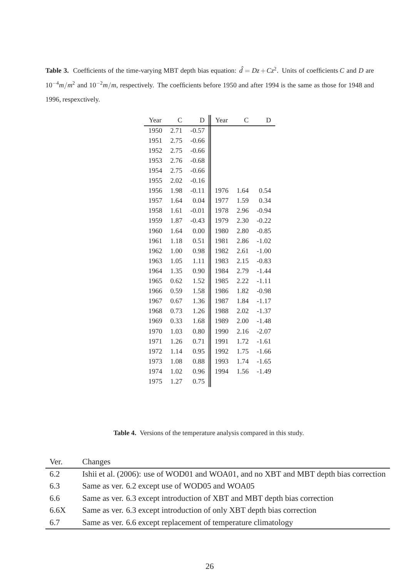**Table 3.** Coefficients of the time-varying MBT depth bias equation:  $\hat{d} = Dz + Cz^2$ . Units of coefficients *C* and *D* are 10<sup>-4</sup>*m*/*m*<sup>2</sup> and 10<sup>-2</sup>*m*/*m*, respectively. The coefficients before 1950 and after 1994 is the same as those for 1948 and 1996, respexctively.

| Year | C    | D       | Year | C    | D       |
|------|------|---------|------|------|---------|
| 1950 | 2.71 | $-0.57$ |      |      |         |
| 1951 | 2.75 | $-0.66$ |      |      |         |
| 1952 | 2.75 | $-0.66$ |      |      |         |
| 1953 | 2.76 | $-0.68$ |      |      |         |
| 1954 | 2.75 | $-0.66$ |      |      |         |
| 1955 | 2.02 | $-0.16$ |      |      |         |
| 1956 | 1.98 | $-0.11$ | 1976 | 1.64 | 0.54    |
| 1957 | 1.64 | 0.04    | 1977 | 1.59 | 0.34    |
| 1958 | 1.61 | $-0.01$ | 1978 | 2.96 | $-0.94$ |
| 1959 | 1.87 | $-0.43$ | 1979 | 2.30 | $-0.22$ |
| 1960 | 1.64 | 0.00    | 1980 | 2.80 | $-0.85$ |
| 1961 | 1.18 | 0.51    | 1981 | 2.86 | $-1.02$ |
| 1962 | 1.00 | 0.98    | 1982 | 2.61 | $-1.00$ |
| 1963 | 1.05 | 1.11    | 1983 | 2.15 | $-0.83$ |
| 1964 | 1.35 | 0.90    | 1984 | 2.79 | $-1.44$ |
| 1965 | 0.62 | 1.52    | 1985 | 2.22 | $-1.11$ |
| 1966 | 0.59 | 1.58    | 1986 | 1.82 | $-0.98$ |
| 1967 | 0.67 | 1.36    | 1987 | 1.84 | $-1.17$ |
| 1968 | 0.73 | 1.26    | 1988 | 2.02 | $-1.37$ |
| 1969 | 0.33 | 1.68    | 1989 | 2.00 | $-1.48$ |
| 1970 | 1.03 | 0.80    | 1990 | 2.16 | $-2.07$ |
| 1971 | 1.26 | 0.71    | 1991 | 1.72 | $-1.61$ |
| 1972 | 1.14 | 0.95    | 1992 | 1.75 | $-1.66$ |
| 1973 | 1.08 | 0.88    | 1993 | 1.74 | $-1.65$ |
| 1974 | 1.02 | 0.96    | 1994 | 1.56 | $-1.49$ |
| 1975 | 1.27 | 0.75    |      |      |         |

**Table 4.** Versions of the temperature analysis compared in this study.

| Ver. | Changes                                                                               |
|------|---------------------------------------------------------------------------------------|
| 6.2  | Ishii et al. (2006): use of WOD01 and WOA01, and no XBT and MBT depth bias correction |
| 6.3  | Same as ver. 6.2 except use of WOD05 and WOA05                                        |
| 6.6  | Same as ver. 6.3 except introduction of XBT and MBT depth bias correction             |
| 6.6X | Same as ver. 6.3 except introduction of only XBT depth bias correction                |
| 6.7  | Same as ver. 6.6 except replacement of temperature climatology                        |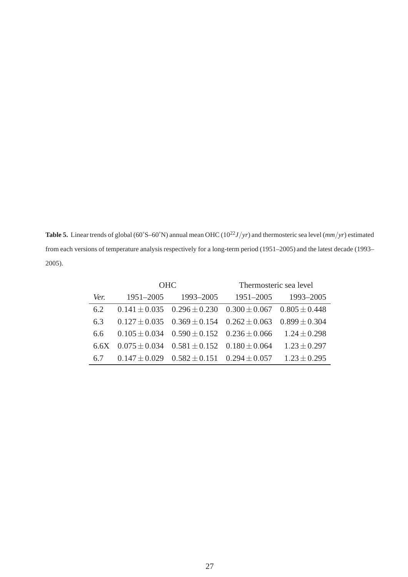**Table 5.** Linear trends of global (60°S–60°N) annual mean OHC ( $10^{22}J/yr$ ) and thermosteric sea level ( $mm/yr$ ) estimated from each versions of temperature analysis respectively for a long-term period (1951–2005) and the latest decade (1993– 2005).

|      |                 | <b>OHC</b>                                                              | Thermosteric sea level |                  |  |
|------|-----------------|-------------------------------------------------------------------------|------------------------|------------------|--|
| Ver. | 1951-2005       | 1993–2005                                                               | $1951 - 2005$          | 1993-2005        |  |
| 6.2  |                 | $0.141 \pm 0.035$ $0.296 \pm 0.230$ $0.300 \pm 0.067$ $0.805 \pm 0.448$ |                        |                  |  |
| 6.3  |                 | $0.127 \pm 0.035$ $0.369 \pm 0.154$ $0.262 \pm 0.063$ $0.899 \pm 0.304$ |                        |                  |  |
| 6.6  |                 | $0.105 \pm 0.034$ $0.590 \pm 0.152$ $0.236 \pm 0.066$                   |                        | $1.24 \pm 0.298$ |  |
| 6.6X |                 | $0.075 \pm 0.034$ $0.581 \pm 0.152$ $0.180 \pm 0.064$                   |                        | $1.23 \pm 0.297$ |  |
| 67   | $0.147 + 0.029$ | $0.582 \pm 0.151$ $0.294 \pm 0.057$                                     |                        | $1.23 + 0.295$   |  |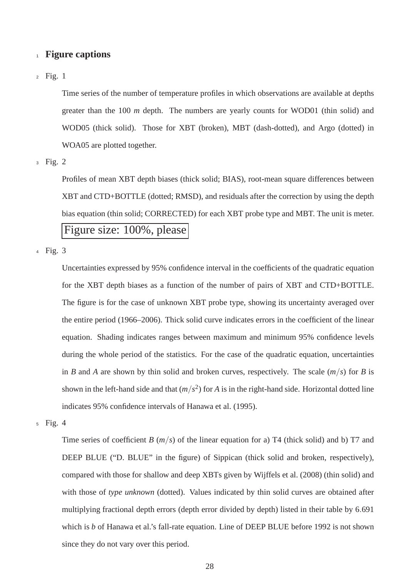## <sup>1</sup> **Figure captions**

Fig. 1 2

Time series of the number of temperature profiles in which observations are available at depths greater than the 100 *m* depth. The numbers are yearly counts for WOD01 (thin solid) and WOD05 (thick solid). Those for XBT (broken), MBT (dash-dotted), and Argo (dotted) in WOA05 are plotted together.

Fig. 2 3

Profiles of mean XBT depth biases (thick solid; BIAS), root-mean square differences between XBT and CTD+BOTTLE (dotted; RMSD), and residuals after the correction by using the depth bias equation (thin solid; CORRECTED) for each XBT probe type and MBT. The unit is meter. Figure size: 100%, please

Fig. 3 4

Uncertainties expressed by 95% confidence interval in the coefficients of the quadratic equation for the XBT depth biases as a function of the number of pairs of XBT and CTD+BOTTLE. The figure is for the case of unknown XBT probe type, showing its uncertainty averaged over the entire period (1966–2006). Thick solid curve indicates errors in the coefficient of the linear equation. Shading indicates ranges between maximum and minimum 95% confidence levels during the whole period of the statistics. For the case of the quadratic equation, uncertainties in *B* and *A* are shown by thin solid and broken curves, respectively. The scale  $(m/s)$  for *B* is shown in the left-hand side and that  $(m/s^2)$  for *A* is in the right-hand side. Horizontal dotted line indicates 95% confidence intervals of Hanawa et al. (1995).

Fig. 4 5

Time series of coefficient *B*  $(m/s)$  of the linear equation for a) T4 (thick solid) and b) T7 and DEEP BLUE ("D. BLUE" in the figure) of Sippican (thick solid and broken, respectively), compared with those for shallow and deep XBTs given by Wijffels et al. (2008) (thin solid) and with those of *type unknown* (dotted). Values indicated by thin solid curves are obtained after multiplying fractional depth errors (depth error divided by depth) listed in their table by 6.691 which is *b* of Hanawa et al.'s fall-rate equation. Line of DEEP BLUE before 1992 is not shown since they do not vary over this period.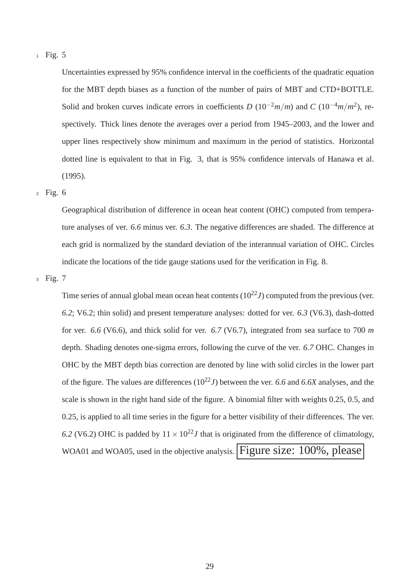Uncertainties expressed by 95% confidence interval in the coefficients of the quadratic equation for the MBT depth biases as a function of the number of pairs of MBT and CTD+BOTTLE. Solid and broken curves indicate errors in coefficients *D* ( $10^{-2}m/m$ ) and *C* ( $10^{-4}m/m^2$ ), respectively. Thick lines denote the averages over a period from 1945–2003, and the lower and upper lines respectively show minimum and maximum in the period of statistics. Horizontal dotted line is equivalent to that in Fig. 3, that is 95% confidence intervals of Hanawa et al. (1995).

Fig. 6 2

Geographical distribution of difference in ocean heat content (OHC) computed from temperature analyses of ver. *6.6* minus ver. *6.3*. The negative differences are shaded. The difference at each grid is normalized by the standard deviation of the interannual variation of OHC. Circles indicate the locations of the tide gauge stations used for the verification in Fig. 8.

Fig. 7 3

Time series of annual global mean ocean heat contents  $(10^{22}J)$  computed from the previous (ver. *6.2*; V6.2; thin solid) and present temperature analyses: dotted for ver. *6.3* (V6.3), dash-dotted for ver. *6.6* (V6.6), and thick solid for ver. *6.7* (V6.7), integrated from sea surface to 700 *m* depth. Shading denotes one-sigma errors, following the curve of the ver. *6.7* OHC. Changes in OHC by the MBT depth bias correction are denoted by line with solid circles in the lower part of the figure. The values are differences  $(10^{22}J)$  between the ver. 6.6 and 6.6X analyses, and the scale is shown in the right hand side of the figure. A binomial filter with weights 0.25, 0.5, and 0.25, is applied to all time series in the figure for a better visibility of their differences. The ver. 6.2 (V6.2) OHC is padded by  $11 \times 10^{22}$ *J* that is originated from the difference of climatology, WOA01 and WOA05, used in the objective analysis. Figure size: 100%, please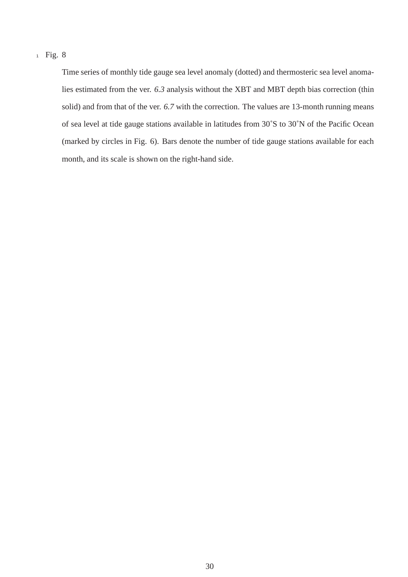Time series of monthly tide gauge sea level anomaly (dotted) and thermosteric sea level anomalies estimated from the ver. *6.3* analysis without the XBT and MBT depth bias correction (thin solid) and from that of the ver. *6.7* with the correction. The values are 13-month running means of sea level at tide gauge stations available in latitudes from 30˚S to 30˚N of the Pacific Ocean (marked by circles in Fig. 6). Bars denote the number of tide gauge stations available for each month, and its scale is shown on the right-hand side.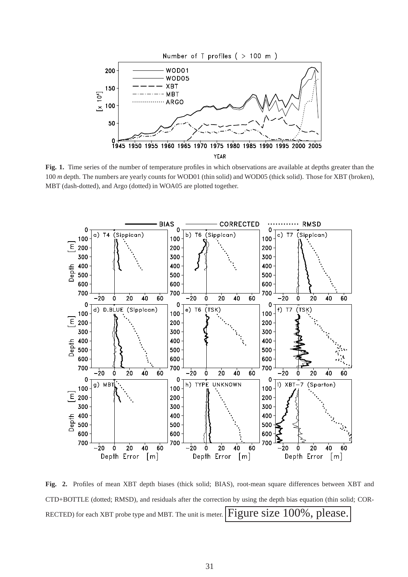

**Fig. 1.** Time series of the number of temperature profiles in which observations are available at depths greater than the 100 *m* depth. The numbers are yearly counts for WOD01 (thin solid) and WOD05 (thick solid). Those for XBT (broken), MBT (dash-dotted), and Argo (dotted) in WOA05 are plotted together.



**Fig. 2.** Profiles of mean XBT depth biases (thick solid; BIAS), root-mean square differences between XBT and CTD+BOTTLE (dotted; RMSD), and residuals after the correction by using the depth bias equation (thin solid; COR-RECTED) for each XBT probe type and MBT. The unit is meter.  $Figure$  size  $100\%$ , please.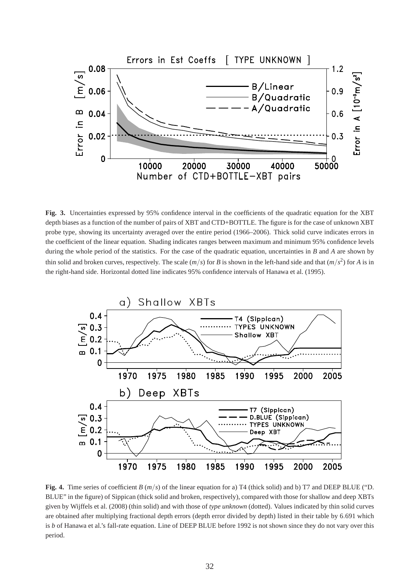

**Fig. 3.** Uncertainties expressed by 95% confidence interval in the coefficients of the quadratic equation for the XBT depth biases as a function of the number of pairs of XBT and CTD+BOTTLE. The figure is for the case of unknown XBT probe type, showing its uncertainty averaged over the entire period (1966–2006). Thick solid curve indicates errors in the coefficient of the linear equation. Shading indicates ranges between maximum and minimum 95% confidence levels during the whole period of the statistics. For the case of the quadratic equation, uncertainties in *B* and *A* are shown by thin solid and broken curves, respectively. The scale  $(m/s)$  for *B* is shown in the left-hand side and that  $(m/s^2)$  for *A* is in the right-hand side. Horizontal dotted line indicates 95% confidence intervals of Hanawa et al. (1995).



**Fig. 4.** Time series of coefficient *B* (*m*/*s*) of the linear equation for a) T4 (thick solid) and b) T7 and DEEP BLUE ("D. BLUE" in the figure) of Sippican (thick solid and broken, respectively), compared with those for shallow and deep XBTs given by Wijffels et al. (2008) (thin solid) and with those of *type unknown* (dotted). Values indicated by thin solid curves are obtained after multiplying fractional depth errors (depth error divided by depth) listed in their table by 6.691 which is *b* of Hanawa et al.'s fall-rate equation. Line of DEEP BLUE before 1992 is not shown since they do not vary over this period.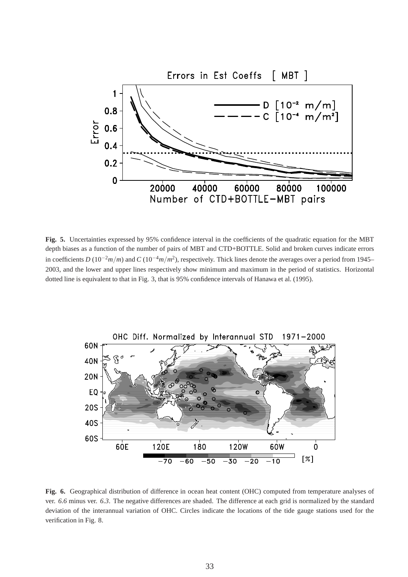

**Fig. 5.** Uncertainties expressed by 95% confidence interval in the coefficients of the quadratic equation for the MBT depth biases as a function of the number of pairs of MBT and CTD+BOTTLE. Solid and broken curves indicate errors in coefficients *D* (10−2*m*/*m*) and *C* (10−4*m*/*m* 2 ), respectively. Thick lines denote the averages over a period from 1945– 2003, and the lower and upper lines respectively show minimum and maximum in the period of statistics. Horizontal dotted line is equivalent to that in Fig. 3, that is 95% confidence intervals of Hanawa et al. (1995).



**Fig. 6.** Geographical distribution of difference in ocean heat content (OHC) computed from temperature analyses of ver. *6.6* minus ver. *6.3*. The negative differences are shaded. The difference at each grid is normalized by the standard deviation of the interannual variation of OHC. Circles indicate the locations of the tide gauge stations used for the verification in Fig. 8.